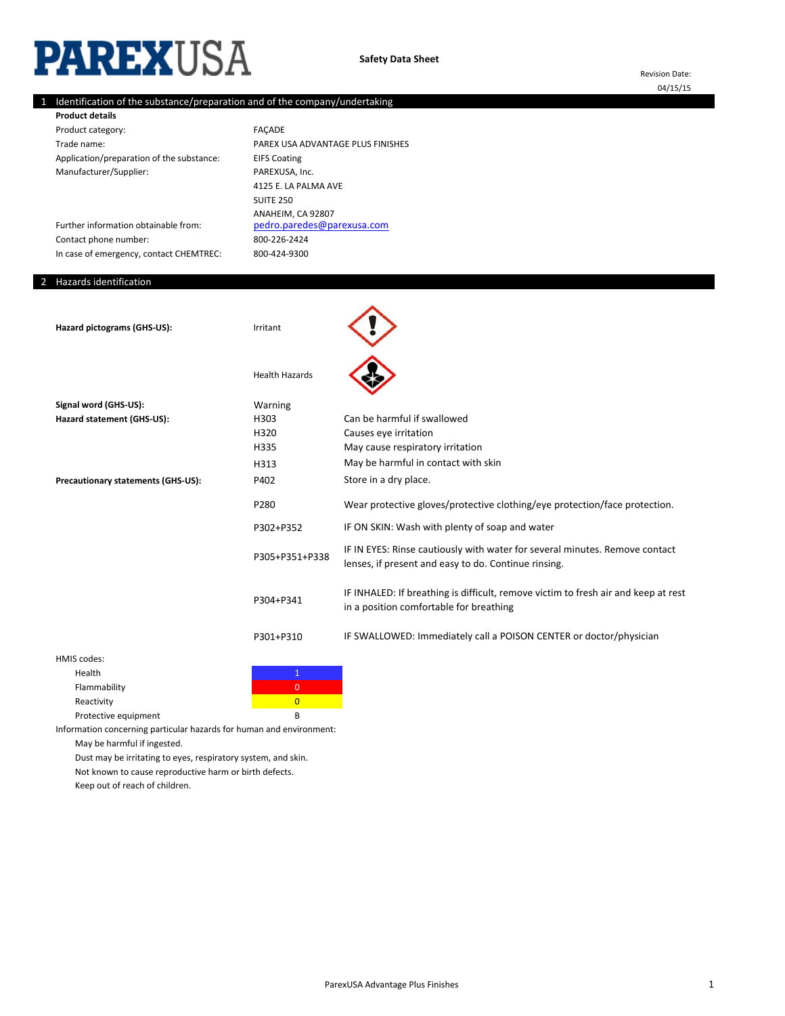# **PAREXUSA**

# 1 Identification of the substance/preparation and of the company/undertaking

| <b>Product details</b>                    |                                   |
|-------------------------------------------|-----------------------------------|
| Product category:                         | <b>FACADE</b>                     |
| Trade name:                               | PAREX USA ADVANTAGE PLUS FINISHES |
| Application/preparation of the substance: | <b>EIFS Coating</b>               |
| Manufacturer/Supplier:                    | PAREXUSA, Inc.                    |
|                                           | 4125 E. LA PALMA AVE              |
|                                           | <b>SUITE 250</b>                  |
|                                           | ANAHEIM, CA 92807                 |
| Further information obtainable from:      | pedro.paredes@parexusa.com        |
| Contact phone number:                     | 800-226-2424                      |
| In case of emergency, contact CHEMTREC:   | 800-424-9300                      |

# 2 Hazards identification

| Hazard pictograms (GHS-US):        | Irritant              |                                                                                                                                     |
|------------------------------------|-----------------------|-------------------------------------------------------------------------------------------------------------------------------------|
|                                    | <b>Health Hazards</b> |                                                                                                                                     |
| Signal word (GHS-US):              | Warning               |                                                                                                                                     |
| Hazard statement (GHS-US):         | H303                  | Can be harmful if swallowed                                                                                                         |
|                                    | H320                  | Causes eye irritation                                                                                                               |
|                                    | H335                  | May cause respiratory irritation                                                                                                    |
|                                    | H313                  | May be harmful in contact with skin                                                                                                 |
| Precautionary statements (GHS-US): | P402                  | Store in a dry place.                                                                                                               |
|                                    | P280                  | Wear protective gloves/protective clothing/eye protection/face protection.                                                          |
|                                    | P302+P352             | IF ON SKIN: Wash with plenty of soap and water                                                                                      |
|                                    | P305+P351+P338        | IF IN EYES: Rinse cautiously with water for several minutes. Remove contact<br>lenses, if present and easy to do. Continue rinsing. |
|                                    | P304+P341             | IF INHALED: If breathing is difficult, remove victim to fresh air and keep at rest<br>in a position comfortable for breathing       |
|                                    | P301+P310             | IF SWALLOWED: Immediately call a POISON CENTER or doctor/physician                                                                  |
| HMIS codes:                        |                       |                                                                                                                                     |

| Health               |   |
|----------------------|---|
| Flammability         |   |
| Reactivity           |   |
| Protective equipment | R |

Information concerning particular hazards for human and environment: May be harmful if ingested.

Dust may be irritating to eyes, respiratory system, and skin.

Not known to cause reproductive harm or birth defects.

Keep out of reach of children.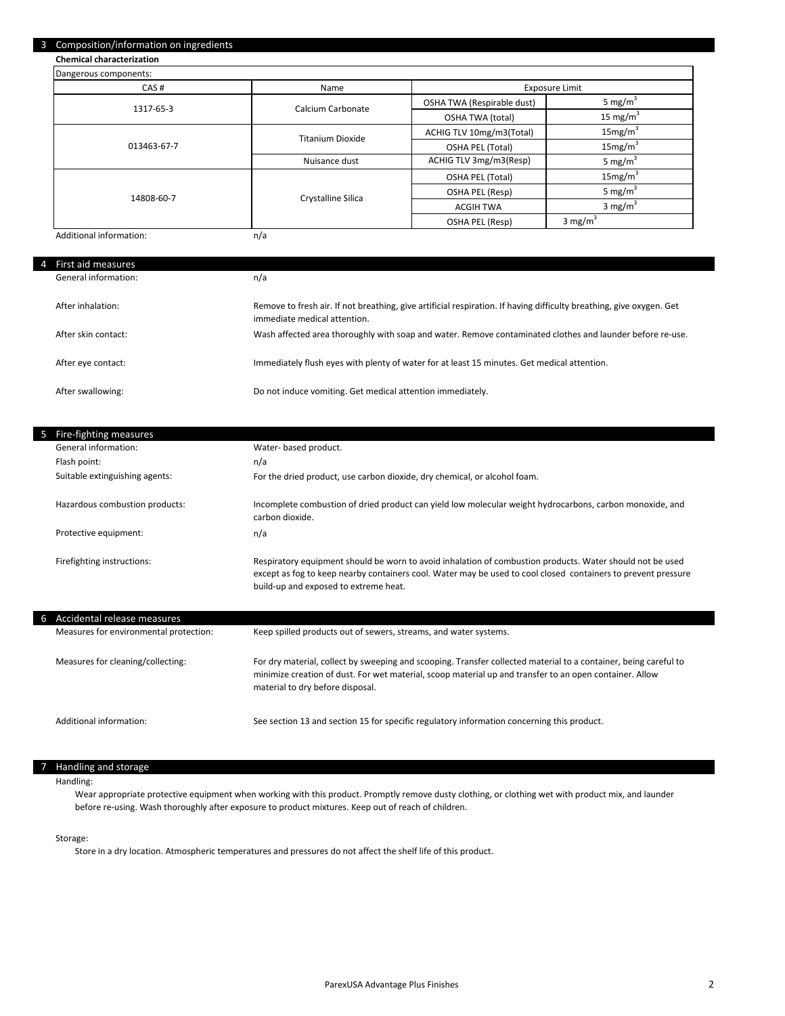#### 3 Composition/information on ingredients

**Chemical characterization**

| Dangerous components:   |                         |                            |                      |
|-------------------------|-------------------------|----------------------------|----------------------|
| CAS#                    | Name                    | <b>Exposure Limit</b>      |                      |
| 1317-65-3               | Calcium Carbonate       | OSHA TWA (Respirable dust) | 5 mg/m <sup>3</sup>  |
|                         |                         | OSHA TWA (total)           | 15 mg/m <sup>3</sup> |
|                         | <b>Titanium Dioxide</b> | ACHIG TLV 10mg/m3(Total)   | 15mg/m <sup>3</sup>  |
| 013463-67-7             |                         | OSHA PEL (Total)           | 15mg/m <sup>3</sup>  |
|                         | Nuisance dust           | ACHIG TLV 3mg/m3(Resp)     | 5 mg/m <sup>3</sup>  |
|                         |                         | <b>OSHA PEL (Total)</b>    | 15mg/m <sup>3</sup>  |
| 14808-60-7              | Crystalline Silica      | OSHA PEL (Resp)            | 5 mg/m <sup>3</sup>  |
|                         |                         | <b>ACGIH TWA</b>           | 3 mg/m <sup>3</sup>  |
|                         |                         | OSHA PEL (Resp)            | 3 mg/ $m^3$          |
| Additional information: | n/a                     |                            |                      |

Additional information:

4

ı

| First aid measures   |                                                                                                                                                      |
|----------------------|------------------------------------------------------------------------------------------------------------------------------------------------------|
| General information: | n/a                                                                                                                                                  |
| After inhalation:    | Remove to fresh air. If not breathing, give artificial respiration. If having difficulty breathing, give oxygen. Get<br>immediate medical attention. |
| After skin contact:  | Wash affected area thoroughly with soap and water. Remove contaminated clothes and launder before re-use.                                            |
| After eye contact:   | Immediately flush eyes with plenty of water for at least 15 minutes. Get medical attention.                                                          |
| After swallowing:    | Do not induce vomiting. Get medical attention immediately.                                                                                           |

|   | 5 Fire-fighting measures               |                                                                                                                                                                                                                                                                     |
|---|----------------------------------------|---------------------------------------------------------------------------------------------------------------------------------------------------------------------------------------------------------------------------------------------------------------------|
|   | General information:                   | Water- based product.                                                                                                                                                                                                                                               |
|   | Flash point:                           | n/a                                                                                                                                                                                                                                                                 |
|   | Suitable extinguishing agents:         | For the dried product, use carbon dioxide, dry chemical, or alcohol foam.                                                                                                                                                                                           |
|   | Hazardous combustion products:         | Incomplete combustion of dried product can yield low molecular weight hydrocarbons, carbon monoxide, and<br>carbon dioxide.                                                                                                                                         |
|   | Protective equipment:                  | n/a                                                                                                                                                                                                                                                                 |
|   | Firefighting instructions:             | Respiratory equipment should be worn to avoid inhalation of combustion products. Water should not be used<br>except as fog to keep nearby containers cool. Water may be used to cool closed containers to prevent pressure<br>build-up and exposed to extreme heat. |
| 6 | Accidental release measures            |                                                                                                                                                                                                                                                                     |
|   | Measures for environmental protection: | Keep spilled products out of sewers, streams, and water systems.                                                                                                                                                                                                    |
|   | Measures for cleaning/collecting:      | For dry material, collect by sweeping and scooping. Transfer collected material to a container, being careful to<br>minimize creation of dust. For wet material, scoop material up and transfer to an open container. Allow<br>material to dry before disposal.     |
|   | Additional information:                | See section 13 and section 15 for specific regulatory information concerning this product.                                                                                                                                                                          |

### 7 Handling and storage

Handling:

Wear appropriate protective equipment when working with this product. Promptly remove dusty clothing, or clothing wet with product mix, and launder before re-using. Wash thoroughly after exposure to product mixtures. Keep out of reach of children.

# Storage:

Store in a dry location. Atmospheric temperatures and pressures do not affect the shelf life of this product.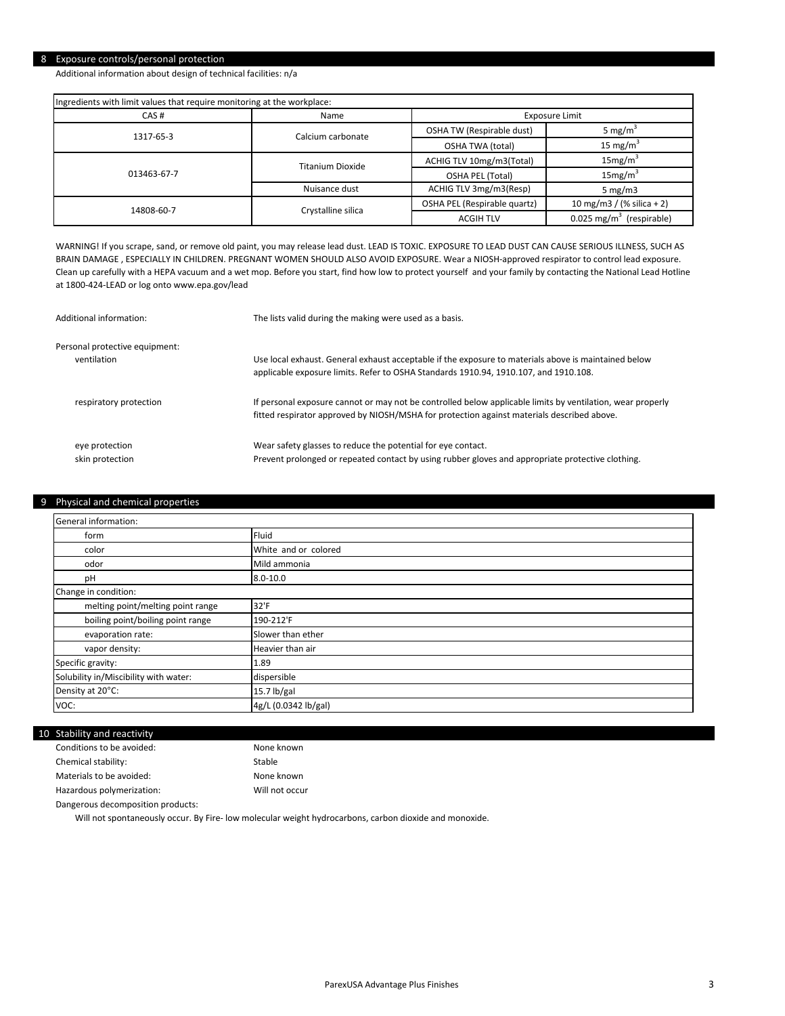# 8 Exposure controls/personal protection

Additional information about design of technical facilities: n/a

| Ingredients with limit values that require monitoring at the workplace: |                         |                              |                                        |
|-------------------------------------------------------------------------|-------------------------|------------------------------|----------------------------------------|
| CAS#                                                                    | Name                    |                              | Exposure Limit                         |
| 1317-65-3                                                               | Calcium carbonate       | OSHA TW (Respirable dust)    | 5 mg/m <sup>3</sup>                    |
|                                                                         |                         | OSHA TWA (total)             | 15 mg/ $m3$                            |
| 013463-67-7                                                             | <b>Titanium Dioxide</b> | ACHIG TLV 10mg/m3(Total)     | 15mg/m <sup>3</sup>                    |
|                                                                         |                         | OSHA PEL (Total)             | 15mg/m <sup>3</sup>                    |
|                                                                         | Nuisance dust           | ACHIG TLV 3mg/m3(Resp)       | $5 \text{ mg/m}$                       |
| 14808-60-7                                                              | Crystalline silica      | OSHA PEL (Respirable quartz) | 10 mg/m3 / (% silica + 2)              |
|                                                                         |                         | <b>ACGIH TLV</b>             | $0.025$ mg/m <sup>3</sup> (respirable) |

WARNING! If you scrape, sand, or remove old paint, you may release lead dust. LEAD IS TOXIC. EXPOSURE TO LEAD DUST CAN CAUSE SERIOUS ILLNESS, SUCH AS BRAIN DAMAGE , ESPECIALLY IN CHILDREN. PREGNANT WOMEN SHOULD ALSO AVOID EXPOSURE. Wear a NIOSH-approved respirator to control lead exposure. Clean up carefully with a HEPA vacuum and a wet mop. Before you start, find how low to protect yourself and your family by contacting the National Lead Hotline at 1800-424-LEAD or log onto www.epa.gov/lead

| Additional information:        | The lists valid during the making were used as a basis.                                                                                                                                                  |
|--------------------------------|----------------------------------------------------------------------------------------------------------------------------------------------------------------------------------------------------------|
| Personal protective equipment: | Use local exhaust. General exhaust acceptable if the exposure to materials above is maintained below                                                                                                     |
| ventilation                    | applicable exposure limits. Refer to OSHA Standards 1910.94, 1910.107, and 1910.108.                                                                                                                     |
| respiratory protection         | If personal exposure cannot or may not be controlled below applicable limits by ventilation, wear properly<br>fitted respirator approved by NIOSH/MSHA for protection against materials described above. |
| eye protection                 | Wear safety glasses to reduce the potential for eye contact.                                                                                                                                             |
| skin protection                | Prevent prolonged or repeated contact by using rubber gloves and appropriate protective clothing.                                                                                                        |

# 9 Physical and chemical properties

| <b>General information:</b>           |                      |
|---------------------------------------|----------------------|
| form                                  | Fluid                |
| color                                 | White and or colored |
| odor                                  | Mild ammonia         |
| pH                                    | $8.0 - 10.0$         |
| Change in condition:                  |                      |
| melting point/melting point range     | 32'F                 |
| boiling point/boiling point range     | 190-212'F            |
| evaporation rate:                     | Slower than ether    |
| vapor density:                        | Heavier than air     |
| Specific gravity:                     | 1.89                 |
| Solubility in/Miscibility with water: | dispersible          |
| Density at 20°C:                      | $15.7$ lb/gal        |
| VOC:                                  | 4g/L (0.0342 lb/gal) |

#### 10 Stability and reactivity

| Conditions to be avoided: | None known     |
|---------------------------|----------------|
| Chemical stability:       | Stable         |
| Materials to be avoided:  | None known     |
| Hazardous polymerization: | Will not occur |

Dangerous decomposition products:

Will not spontaneously occur. By Fire- low molecular weight hydrocarbons, carbon dioxide and monoxide.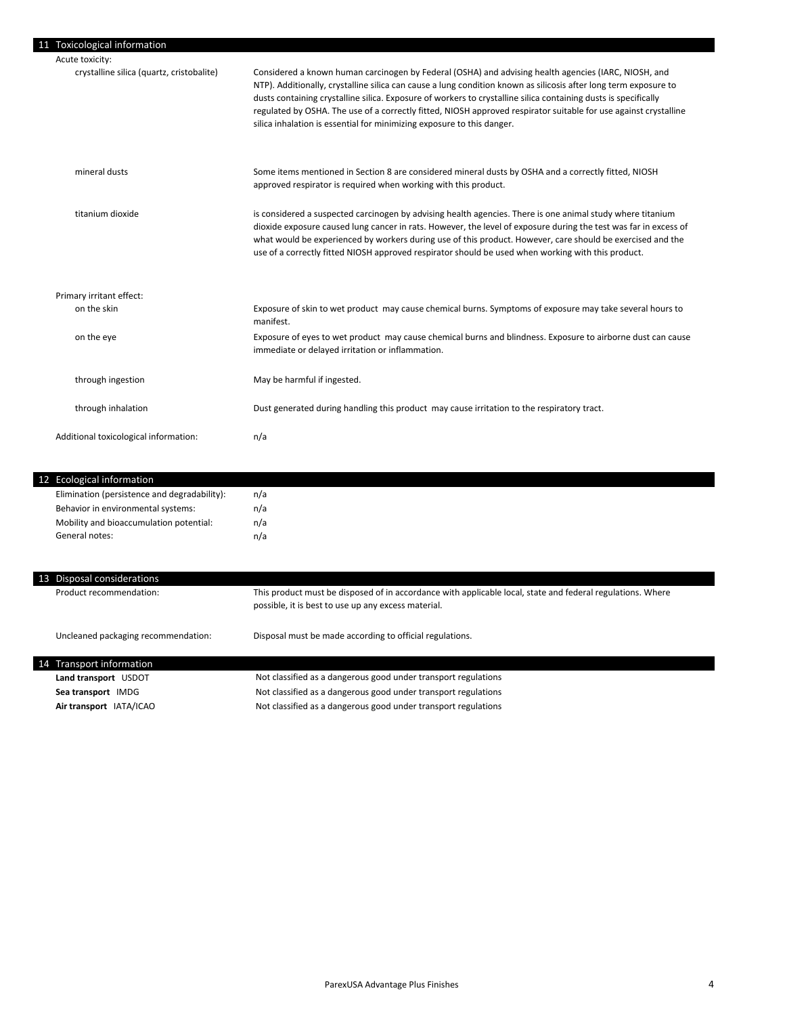| 11 Toxicological information                 |                                                                                                                                                                                                                                                                                                                                                                                                                                                                                                                                           |
|----------------------------------------------|-------------------------------------------------------------------------------------------------------------------------------------------------------------------------------------------------------------------------------------------------------------------------------------------------------------------------------------------------------------------------------------------------------------------------------------------------------------------------------------------------------------------------------------------|
| Acute toxicity:                              |                                                                                                                                                                                                                                                                                                                                                                                                                                                                                                                                           |
| crystalline silica (quartz, cristobalite)    | Considered a known human carcinogen by Federal (OSHA) and advising health agencies (IARC, NIOSH, and<br>NTP). Additionally, crystalline silica can cause a lung condition known as silicosis after long term exposure to<br>dusts containing crystalline silica. Exposure of workers to crystalline silica containing dusts is specifically<br>regulated by OSHA. The use of a correctly fitted, NIOSH approved respirator suitable for use against crystalline<br>silica inhalation is essential for minimizing exposure to this danger. |
| mineral dusts                                | Some items mentioned in Section 8 are considered mineral dusts by OSHA and a correctly fitted, NIOSH<br>approved respirator is required when working with this product.                                                                                                                                                                                                                                                                                                                                                                   |
| titanium dioxide                             | is considered a suspected carcinogen by advising health agencies. There is one animal study where titanium<br>dioxide exposure caused lung cancer in rats. However, the level of exposure during the test was far in excess of<br>what would be experienced by workers during use of this product. However, care should be exercised and the<br>use of a correctly fitted NIOSH approved respirator should be used when working with this product.                                                                                        |
| Primary irritant effect:                     |                                                                                                                                                                                                                                                                                                                                                                                                                                                                                                                                           |
| on the skin                                  | Exposure of skin to wet product may cause chemical burns. Symptoms of exposure may take several hours to<br>manifest.                                                                                                                                                                                                                                                                                                                                                                                                                     |
| on the eye                                   | Exposure of eyes to wet product may cause chemical burns and blindness. Exposure to airborne dust can cause<br>immediate or delayed irritation or inflammation.                                                                                                                                                                                                                                                                                                                                                                           |
| through ingestion                            | May be harmful if ingested.                                                                                                                                                                                                                                                                                                                                                                                                                                                                                                               |
| through inhalation                           | Dust generated during handling this product may cause irritation to the respiratory tract.                                                                                                                                                                                                                                                                                                                                                                                                                                                |
| Additional toxicological information:        | n/a                                                                                                                                                                                                                                                                                                                                                                                                                                                                                                                                       |
| <b>Ecological information</b>                |                                                                                                                                                                                                                                                                                                                                                                                                                                                                                                                                           |
| Elimination (persistence and degradability): | n/a                                                                                                                                                                                                                                                                                                                                                                                                                                                                                                                                       |
| Behavior in environmental systems:           | n/a                                                                                                                                                                                                                                                                                                                                                                                                                                                                                                                                       |
| Mobility and bioaccumulation potential:      | n/a                                                                                                                                                                                                                                                                                                                                                                                                                                                                                                                                       |
| General notes:                               | n/a                                                                                                                                                                                                                                                                                                                                                                                                                                                                                                                                       |

| 13 Disposal considerations |  |                                     |                                                                                                                                                                   |
|----------------------------|--|-------------------------------------|-------------------------------------------------------------------------------------------------------------------------------------------------------------------|
|                            |  | Product recommendation:             | This product must be disposed of in accordance with applicable local, state and federal regulations. Where<br>possible, it is best to use up any excess material. |
|                            |  | Uncleaned packaging recommendation: | Disposal must be made according to official regulations.                                                                                                          |
| 14 Transport information   |  |                                     |                                                                                                                                                                   |
|                            |  | Land transport USDOT                | Not classified as a dangerous good under transport regulations                                                                                                    |
|                            |  | Sea transport IMDG                  | Not classified as a dangerous good under transport regulations                                                                                                    |
|                            |  | Air transport IATA/ICAO             | Not classified as a dangerous good under transport regulations                                                                                                    |
|                            |  |                                     |                                                                                                                                                                   |